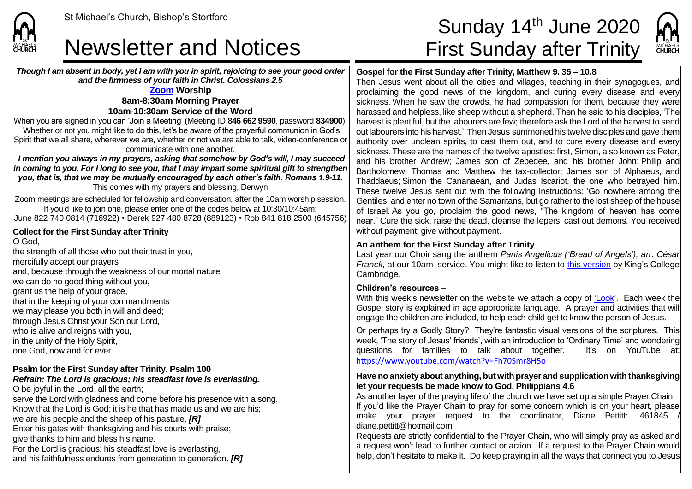### Newsletter and Notices First Sunday after Trinity

*Though I am absent in body, yet I am with you in spirit, rejoicing to see your good order and the firmness of your faith in Christ. Colossians 2.5*

#### **[Zoom](https://zoom.us/) Worship 8am-8:30am Morning Prayer 10am-10:30am Service of the Word**

When you are signed in you can 'Join a Meeting' (Meeting ID **846 662 9590**, password **834900**). Whether or not you might like to do this, let's be aware of the prayerful communion in God's Spirit that we all share, wherever we are, whether or not we are able to talk, video-conference or communicate with one another.

*I mention you always in my prayers, asking that somehow by God's will, I may succeed in coming to you. For I long to see you, that I may impart some spiritual gift to strengthen you, that is, that we may be mutually encouraged by each other's faith. Romans 1.9-11.* This comes with my prayers and blessing, Derwyn

Zoom meetings are scheduled for fellowship and conversation, after the 10am worship session. If you'd like to join one, please enter one of the codes below at 10:30/10:45am:

June 822 740 0814 (716922) • Derek 927 480 8728 (889123) • Rob 841 818 2500 (645756)

#### **Collect for the First Sunday after Trinity** O God.

the strength of all those who put their trust in you, mercifully accept our prayers and, because through the weakness of our mortal nature we can do no good thing without you, grant us the help of your grace, that in the keeping of your commandments we may please you both in will and deed; through Jesus Christ your Son our Lord, who is alive and reigns with you. In the unity of the Holy Spirit, lone God, now and for ever.

#### **Psalm for the First Sunday after Trinity, Psalm 100**

#### *Refrain: The Lord is gracious; his steadfast love is everlasting.* O be joyful in the Lord, all the earth;

serve the Lord with gladness and come before his presence with a song. Know that the Lord is God; it is he that has made us and we are his: we are his people and the sheep of his pasture. *[R]* Enter his gates with thanksgiving and his courts with praise; give thanks to him and bless his name. For the Lord is gracious; his steadfast love is everlasting, and his faithfulness endures from generation to generation. *[R]*

# St Michael's Church, Bishop's Stortford **Sunday 14<sup>th</sup> June 2020**

MICHAELS

#### **Gospel for the First Sunday after Trinity, Matthew 9. 35 – 10.8**

Then Jesus went about all the cities and villages, teaching in their synagogues, and proclaiming the good news of the kingdom, and curing every disease and every sickness. When he saw the crowds, he had compassion for them, because they were harassed and helpless, like sheep without a shepherd. Then he said to his disciples, 'The harvest is plentiful, but the labourers are few; therefore ask the Lord of the harvest to send  $\vert$ out labourers into his harvest.' Then Jesus summoned his twelve disciples and gave them authority over unclean spirits, to cast them out, and to cure every disease and every sickness. These are the names of the twelve apostles: first, Simon, also known as Peter, and his brother Andrew; James son of Zebedee, and his brother John; Philip and Bartholomew; Thomas and Matthew the tax-collector; James son of Alphaeus, and Thaddaeus; Simon the Cananaean, and Judas Iscariot, the one who betrayed him. These twelve Jesus sent out with the following instructions: 'Go nowhere among the Gentiles, and enter no town of the Samaritans, but go rather to the lost sheep of the house of Israel. As you go, proclaim the good news, "The kingdom of heaven has come near." Cure the sick, raise the dead, cleanse the lepers, cast out demons. You received without payment; give without payment.

#### **An anthem for the First Sunday after Trinity**

Last year our Choir sang the anthem *Panis Angelicus ('Bread of Angels'), arr. César Franck,* at our 10am service. You might like to listen to [this version](https://www.youtube.com/watch?v=PK3TeWqSAZk) by King's College Cambridge.

#### **Children's resources –**

With this week's newsletter on the website we attach a copy of ['Look'](https://saintmichaelweb.org.uk/Articles/542815/_Newsletter.aspx). Each week the Gospel story is explained in age appropriate language. A prayer and activities that will engage the children are included, to help each child get to know the person of Jesus.

Or perhaps try a Godly Story? They're fantastic visual versions of the scriptures. This week, 'The story of Jesus' friends', with an introduction to 'Ordinary Time' and wondering questions for families to talk about together. It's on YouTube at: <https://www.youtube.com/watch?v=Fh70Smr8H5o>

#### **Have no anxiety about anything, but with prayer and supplication with thanksgiving let your requests be made know to God. Philippians 4.6**

As another layer of the praying life of the church we have set up a simple Prayer Chain. If you'd like the Prayer Chain to pray for some concern which is on your heart, please  $\overline{\phantom{a}}$  make your prayer request to the coordinator. Diane Pettitt: 461845 diane.pettitt@hotmail.com

Requests are strictly confidential to the Prayer Chain, who will simply pray as asked and a request won't lead to further contact or action. If a request to the Prayer Chain would help, don't hesitate to make it. Do keep praying in all the ways that connect you to Jesus



**CHURCH**